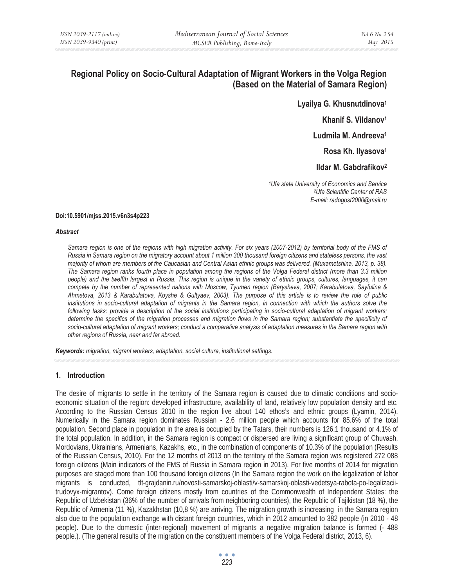# **Regional Policy on Socio-Cultural Adaptation of Migrant Workers in the Volga Region (Based on the Material of Samara Region)**

**Lyailya G. Khusnutdinova1**

**Khanif S. Vildanov1**

**Ludmila M. Andreeva1**

**Rosa Kh. Ilyasova1**

**Ildar M. Gabdrafikov2**

*1Ufa state University of Economics and Service 2Ufa Scientific Center of RAS E-mail: radogost2000@mail.ru* 

## **Doi:10.5901/mjss.2015.v6n3s4p223**

## *Abstract*

*Samara region is one of the regions with high migration activity. For six years (2007-2012) by territorial body of the FMS of Russia in Samara region on the migratory account about 1 million 300 thousand foreign citizens and stateless persons, the vast majority of whom are members of the Caucasian and Central Asian ethnic groups was delivered. (Muxametshina, 2013, p. 38). The Samara region ranks fourth place in population among the regions of the Volga Federal district (more than 3.3 million people) and the twelfth largest in Russia. This region is unique in the variety of ethnic groups, cultures, languages, it can compete by the number of represented nations with Moscow, Tyumen region (Barysheva, 2007; Karabulatova, Sayfulina & Ahmetova, 2013 & Karabulatova, Koyshe & Gultyaev, 2003). The purpose of this article is to review the role of public*  institutions in socio-cultural adaptation of migrants in the Samara region, in connection with which the authors solve the *following tasks: provide a description of the social institutions participating in socio-cultural adaptation of migrant workers;*  determine the specifics of the migration processes and migration flows in the Samara region; substantiate the specificity of socio-cultural adaptation of migrant workers; conduct a comparative analysis of adaptation measures in the Samara region with *other regions of Russia, near and far abroad.* 

*Keywords: migration, migrant workers, adaptation, social culture, institutional settings.*

# **1. Introduction**

The desire of migrants to settle in the territory of the Samara region is caused due to climatic conditions and socioeconomic situation of the region: developed infrastructure, availability of land, relatively low population density and etc. According to the Russian Census 2010 in the region live about 140 ethos's and ethnic groups (Lyamin, 2014). Numerically in the Samara region dominates Russian - 2.6 million people which accounts for 85.6% of the total population. Second place in population in the area is occupied by the Tatars, their numbers is 126.1 thousand or 4.1% of the total population. In addition, in the Samara region is compact or dispersed are living a significant group of Chuvash, Mordovians, Ukrainians, Armenians, Kazakhs, etc., in the combination of components of 10.3% of the population (Results of the Russian Census, 2010). For the 12 months of 2013 on the territory of the Samara region was registered 272 088 foreign citizens (Main indicators of the FMS of Russia in Samara region in 2013). For five months of 2014 for migration purposes are staged more than 100 thousand foreign citizens (In the Samara region the work on the legalization of labor migrants is conducted, tlt-grajdanin.ru/novosti-samarskoj-oblasti/v-samarskoj-oblasti-vedetsya-rabota-po-legalizaciitrudovyx-migrantov). Come foreign citizens mostly from countries of the Commonwealth of Independent States: the Republic of Uzbekistan (36% of the number of arrivals from neighboring countries), the Republic of Tajikistan (18 %), the Republic of Armenia (11 %), Kazakhstan (10,8 %) are arriving. The migration growth is increasing in the Samara region also due to the population exchange with distant foreign countries, which in 2012 amounted to 382 people (in 2010 - 48 people). Due to the domestic (inter-regional) movement of migrants a negative migration balance is formed (- 488 people.). (The general results of the migration on the constituent members of the Volga Federal district, 2013, 6).

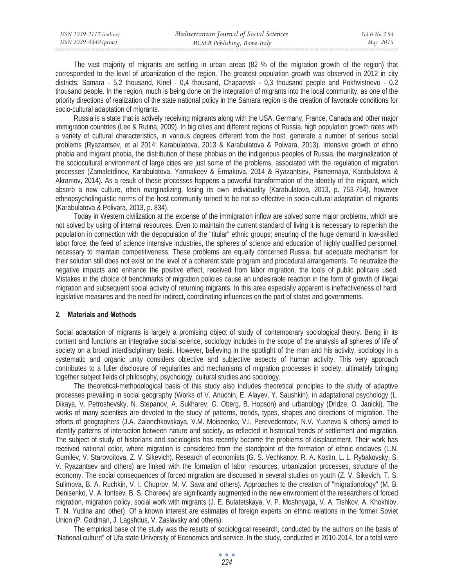The vast majority of migrants are settling in urban areas (82 % of the migration growth of the region) that corresponded to the level of urbanization of the region. The greatest population growth was observed in 2012 in city districts: Samara - 5,2 thousand, Kinel - 0,4 thousand, Chapaevsk - 0,3 thousand people and Pokhvistnevo - 0.2 thousand people. In the region, much is being done on the integration of migrants into the local community, as one of the priority directions of realization of the state national policy in the Samara region is the creation of favorable conditions for socio-cultural adaptation of migrants.

Russia is a state that is actively receiving migrants along with the USA, Germany, France, Canada and other major immigration countries (Lee & Rutina, 2009). In big cities and different regions of Russia, high population growth rates with a variety of cultural characteristics, in various degrees different from the host, generate a number of serious social problems (Ryazantsev, et al 2014; Karabulatova, 2013 & Karabulatova & Polivara, 2013). Intensive growth of ethno phobia and migrant phobia, the distribution of these phobias on the indigenous peoples of Russia, the marginalization of the sociocultural environment of large cities are just some of the problems, associated with the regulation of migration processes (Zamaletdinov, Karabulatova, Yarmakeev & Ermakova, 2014 & Ryazantsev, Pismennaya, Karabulatova & Akramov, 2014). As a result of these processes happens a powerful transformation of the identity of the migrant, which absorb a new culture, often marginalizing, losing its own individuality (Karabulatova, 2013, p. 753-754), however ethnopsycholinguistic norms of the host community turned to be not so effective in socio-cultural adaptation of migrants (Karabulatova & Polivara, 2013, p. 834).

Today in Western civilization at the expense of the immigration inflow are solved some major problems, which are not solved by using of internal resources. Even to maintain the current standard of living it is necessary to replenish the population in connection with the depopulation of the "titular" ethnic groups; ensuring of the huge demand in low-skilled labor force; the feed of science intensive industries, the spheres of science and education of highly qualified personnel, necessary to maintain competitiveness. These problems are equally concerned Russia, but adequate mechanism for their solution still does not exist on the level of a coherent state program and procedural arrangements. To neutralize the negative impacts and enhance the positive effect, received from labor migration, the tools of public policare used. Mistakes in the choice of benchmarks of migration policies cause an undesirable reaction in the form of growth of illegal migration and subsequent social activity of returning migrants. In this area especially apparent is ineffectiveness of hard, legislative measures and the need for indirect, coordinating influences on the part of states and governments.

## **2. Materials and Methods**

Social adaptation of migrants is largely a promising object of study of contemporary sociological theory. Being in its content and functions an integrative social science, sociology includes in the scope of the analysis all spheres of life of society on a broad interdisciplinary basis. However, believing in the spotlight of the man and his activity, sociology in a systematic and organic unity considers objective and subjective aspects of human activity. This very approach contributes to a fuller disclosure of regularities and mechanisms of migration processes in society, ultimately bringing together subject fields of philosophy, psychology, cultural studies and sociology.

The theoretical-methodological basis of this study also includes theoretical principles to the study of adaptive processes prevailing in social geography (Works of V. Anuchin, E. Alayev, Y. Saushkin), in adaptational psychology (L. Dikaya, V. Petroshevsky, N. Stepanov, A. Sukharev, G. Oberg, B. Hopson) and urbanology (Dridze, O. Janicki). The works of many scientists are devoted to the study of patterns, trends, types, shapes and directions of migration. The efforts of geographers (J.A. Zaionchkovskaya, V.M. Moiseenko, V.I. Perevedentcev, N.V. Yuxneva & others) aimed to identify patterns of interaction between nature and society, as reflected in historical trends of settlement and migration. The subject of study of historians and sociologists has recently become the problems of displacement. Their work has received national color, where migration is considered from the standpoint of the formation of ethnic enclaves (L.N. Gumilev, V. Starovoitova, Z. V. Sikevich). Research of economists (G. S. Vechkanov, R. A. Kostin, L. L. Rybakovsky, S. V. Ryazantsev and others) are linked with the formation of labor resources, urbanization processes, structure of the economy. The social consequences of forced migration are discussed in several studies on youth (Z. V. Sikevich, T. S. Sulimova, B. A. Ruchkin, V. I. Chuprov, M. V. Sava and others). Approaches to the creation of "migrationology" (M. B. Denisenko, V. A. Iontsev, B. S. Choreev) are significantly augmented in the new environment of the researchers of forced migration, migration policy, social work with migrants (J. E. Bulatetskaya, V. P. Moshnyaga, V. A. Tishkov, A. Khokhlov, T. N. Yudina and other). Of a known interest are estimates of foreign experts on ethnic relations in the former Soviet Union (P. Goldman, J. Lagshdus, V. Zaslavsky and others).

The empirical base of the study was the results of sociological research, conducted by the authors on the basis of "National culture" of Ufa state University of Economics and service. In the study, conducted in 2010-2014, for a total were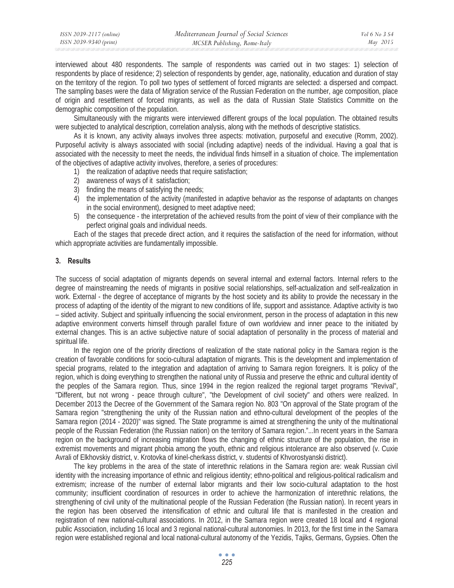interviewed about 480 respondents. The sample of respondents was carried out in two stages: 1) selection of respondents by place of residence; 2) selection of respondents by gender, age, nationality, education and duration of stay on the territory of the region. To poll two types of settlement of forced migrants are selected: a dispersed and compact. The sampling bases were the data of Migration service of the Russian Federation on the number, age composition, place of origin and resettlement of forced migrants, as well as the data of Russian State Statistics Committe on the demographic composition of the population.

Simultaneously with the migrants were interviewed different groups of the local population. The obtained results were subjected to analytical description, correlation analysis, along with the methods of descriptive statistics.

As it is known, any activity always involves three aspects: motivation, purposeful and executive (Romm, 2002). Purposeful activity is always associated with social (including adaptive) needs of the individual. Having a goal that is associated with the necessity to meet the needs, the individual finds himself in a situation of choice. The implementation of the objectives of adaptive activity involves, therefore, a series of procedures:

- 1) the realization of adaptive needs that require satisfaction;
- 2) awareness of ways of it satisfaction;
- 3) finding the means of satisfying the needs;
- 4) the implementation of the activity (manifested in adaptive behavior as the response of adaptants on changes in the social environment), designed to meet adaptive need;
- 5) the consequence the interpretation of the achieved results from the point of view of their compliance with the perfect original goals and individual needs.

Each of the stages that precede direct action, and it requires the satisfaction of the need for information, without which appropriate activities are fundamentally impossible.

# **3. Results**

The success of social adaptation of migrants depends on several internal and external factors. Internal refers to the degree of mainstreaming the needs of migrants in positive social relationships, self-actualization and self-realization in work. External - the degree of acceptance of migrants by the host society and its ability to provide the necessary in the process of adapting of the identity of the migrant to new conditions of life, support and assistance. Adaptive activity is two – sided activity. Subject and spiritually influencing the social environment, person in the process of adaptation in this new adaptive environment converts himself through parallel fixture of own worldview and inner peace to the initiated by external changes. This is an active subjective nature of social adaptation of personality in the process of material and spiritual life.

In the region one of the priority directions of realization of the state national policy in the Samara region is the creation of favorable conditions for socio-cultural adaptation of migrants. This is the development and implementation of special programs, related to the integration and adaptation of arriving to Samara region foreigners. It is policy of the region, which is doing everything to strengthen the national unity of Russia and preserve the ethnic and cultural identity of the peoples of the Samara region. Thus, since 1994 in the region realized the regional target programs "Revival", "Different, but not wrong - peace through culture", "the Development of civil society" and others were realized. In December 2013 the Decree of the Government of the Samara region No. 803 "On approval of the State program of the Samara region "strengthening the unity of the Russian nation and ethno-cultural development of the peoples of the Samara region (2014 - 2020)" was signed. The State programme is aimed at strengthening the unity of the multinational people of the Russian Federation (the Russian nation) on the territory of Samara region."...In recent years in the Samara region on the background of increasing migration flows the changing of ethnic structure of the population, the rise in extremist movements and migrant phobia among the youth, ethnic and religious intolerance are also observed (v. Cuxie Avrali of Elkhovskiy district, v. Krotovka of kinel-cherkass district, v. studentsi of Khvorostyanski district).

The key problems in the area of the state of interethnic relations in the Samara region are: weak Russian civil identity with the increasing importance of ethnic and religious identity; ethno-political and religious-political radicalism and extremism; increase of the number of external labor migrants and their low socio-cultural adaptation to the host community; insufficient coordination of resources in order to achieve the harmonization of interethnic relations, the strengthening of civil unity of the multinational people of the Russian Federation (the Russian nation). In recent years in the region has been observed the intensification of ethnic and cultural life that is manifested in the creation and registration of new national-cultural associations. In 2012, in the Samara region were created 18 local and 4 regional public Association, including 16 local and 3 regional national-cultural autonomies. In 2013, for the first time in the Samara region were established regional and local national-cultural autonomy of the Yezidis, Tajiks, Germans, Gypsies. Often the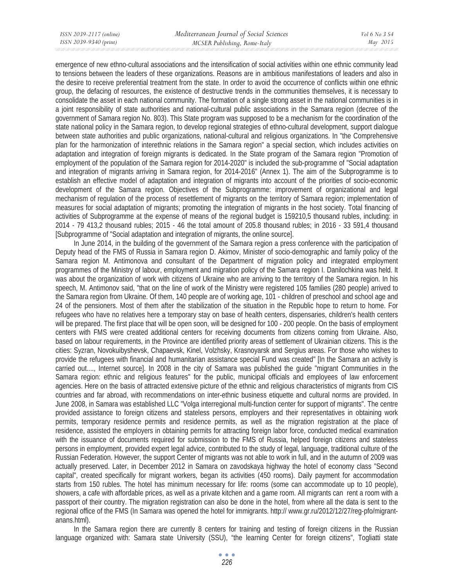emergence of new ethno-cultural associations and the intensification of social activities within one ethnic community lead to tensions between the leaders of these organizations. Reasons are in ambitious manifestations of leaders and also in the desire to receive preferential treatment from the state. In order to avoid the occurrence of conflicts within one ethnic group, the defacing of resources, the existence of destructive trends in the communities themselves, it is necessary to consolidate the asset in each national community. The formation of a single strong asset in the national communities is in a joint responsibility of state authorities and national-cultural public associations in the Samara region (decree of the government of Samara region No. 803). This State program was supposed to be a mechanism for the coordination of the state national policy in the Samara region, to develop regional strategies of ethno-cultural development, support dialogue between state authorities and public organizations, national-cultural and religious organizations. In "the Comprehensive plan for the harmonization of interethnic relations in the Samara region" a special section, which includes activities on adaptation and integration of foreign migrants is dedicated. In the State program of the Samara region "Promotion of employment of the population of the Samara region for 2014-2020" is included the sub-programme of "Social adaptation and integration of migrants arriving in Samara region, for 2014-2016" (Annex 1). The aim of the Subprogramme is to establish an effective model of adaptation and integration of migrants into account of the priorities of socio-economic development of the Samara region. Objectives of the Subprogramme: improvement of organizational and legal mechanism of regulation of the process of resettlement of migrants on the territory of Samara region; implementation of measures for social adaptation of migrants; promoting the integration of migrants in the host society. Total financing of activities of Subprogramme at the expense of means of the regional budget is 159210,5 thousand rubles, including: in 2014 - 79 413,2 thousand rubles; 2015 - 46 the total amount of 205.8 thousand rubles; in 2016 - 33 591,4 thousand [Subprogramme of "Social adaptation and integration of migrants, the online source].

In June 2014, in the building of the government of the Samara region a press conference with the participation of Deputy head of the FMS of Russia in Samara region D. Akimov, Minister of socio-demographic and family policy of the Samara region M. Antimonova and consultant of the Department of migration policy and integrated employment programmes of the Ministry of labour, employment and migration policy of the Samara region I. Danilochkina was held. It was about the organization of work with citizens of Ukraine who are arriving to the territory of the Samara region. In his speech, M. Antimonov said, "that on the line of work of the Ministry were registered 105 families (280 people) arrived to the Samara region from Ukraine. Of them, 140 people are of working age, 101 - children of preschool and school age and 24 of the pensioners. Most of them after the stabilization of the situation in the Republic hope to return to home. For refugees who have no relatives here a temporary stay on base of health centers, dispensaries, children's health centers will be prepared. The first place that will be open soon, will be designed for 100 - 200 people. On the basis of employment centers with FMS were created additional centers for receiving documents from citizens coming from Ukraine. Also, based on labour requirements, in the Province are identified priority areas of settlement of Ukrainian citizens. This is the cities: Syzran, Novokuibyshevsk, Chapaevsk, Kinel, Volzhsky, Krasnoyarsk and Sergius areas. For those who wishes to provide the refugees with financial and humanitarian assistance special Fund was created" [In the Samara an activity is carried out...., Internet source]. In 2008 in the city of Samara was published the guide "migrant Communities in the Samara region: ethnic and religious features" for the public, municipal officials and employees of law enforcement agencies. Here on the basis of attracted extensive picture of the ethnic and religious characteristics of migrants from CIS countries and far abroad, with recommendations on inter-ethnic business etiquette and cultural norms are provided. In June 2008, in Samara was established LLC "Volga interregional multi-function center for support of migrants". The centre provided assistance to foreign citizens and stateless persons, employers and their representatives in obtaining work permits, temporary residence permits and residence permits, as well as the migration registration at the place of residence, assisted the employers in obtaining permits for attracting foreign labor force, conducted medical examination with the issuance of documents required for submission to the FMS of Russia, helped foreign citizens and stateless persons in employment, provided expert legal advice, contributed to the study of legal, language, traditional culture of the Russian Federation. However, the support Center of migrants was not able to work in full, and in the autumn of 2009 was actually preserved. Later, in December 2012 in Samara on zavodskaya highway the hotel of economy class "Second capital", created specifically for migrant workers, began its activities (450 rooms). Daily payment for accommodation starts from 150 rubles. The hotel has minimum necessary for life: rooms (some can accommodate up to 10 people), showers, a cafe with affordable prices, as well as a private kitchen and a game room. All migrants can rent a room with a passport of their country. The migration registration can also be done in the hotel, from where all the data is sent to the regional office of the FMS (In Samara was opened the hotel for immigrants. http:// www.gr.ru/2012/12/27/reg-pfo/migrantanans.html).

In the Samara region there are currently 8 centers for training and testing of foreign citizens in the Russian language organized with: Samara state University (SSU), "the learning Center for foreign citizens", Togliatti state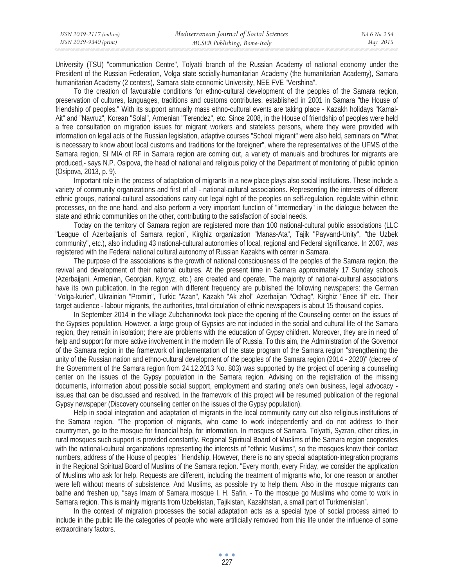| ISSN 2039-2117 (online) | Mediterranean Journal of Social Sciences | Vol 6 No 3 S4 |
|-------------------------|------------------------------------------|---------------|
| ISSN 2039-9340 (print)  | MCSER Publishing, Rome-Italy             | May 2015      |

University (TSU) "communication Centre", Tolyatti branch of the Russian Academy of national economy under the President of the Russian Federation, Volga state socially-humanitarian Academy (the humanitarian Academy), Samara humanitarian Academy (2 centers), Samara state economic University, NEE FVE "Vershina".

To the creation of favourable conditions for ethno-cultural development of the peoples of the Samara region, preservation of cultures, languages, traditions and customs contributes, established in 2001 in Samara "the House of friendship of peoples." With its support annually mass ethno-cultural events are taking place - Kazakh holidays "Kamal-Ait" and "Navruz", Korean "Solal", Armenian "Terendez", etc. Since 2008, in the House of friendship of peoples were held a free consultation on migration issues for migrant workers and stateless persons, where they were provided with information on legal acts of the Russian legislation, adaptive courses "School migrant" were also held, seminars on "What is necessary to know about local customs and traditions for the foreigner", where the representatives of the UFMS of the Samara region, SI MIA of RF in Samara region are coming out, a variety of manuals and brochures for migrants are produced,- says N.P. Osipova, the head of national and religious policy of the Department of monitoring of public opinion (Osipova, 2013, p. 9).

Important role in the process of adaptation of migrants in a new place plays also social institutions. These include a variety of community organizations and first of all - national-cultural associations. Representing the interests of different ethnic groups, national-cultural associations carry out legal right of the peoples on self-regulation, regulate within ethnic processes, on the one hand, and also perform a very important function of "intermediary" in the dialogue between the state and ethnic communities on the other, contributing to the satisfaction of social needs.

Today on the territory of Samara region are registered more than 100 national-cultural public associations (LLC "League of Azerbaijanis of Samara region", Kirghiz organization "Manas-Ata", Tajik "Payvand-Unity", "the Uzbek community", etc.), also including 43 national-cultural autonomies of local, regional and Federal significance. In 2007, was registered with the Federal national cultural autonomy of Russian Kazakhs with center in Samara.

The purpose of the associations is the growth of national consciousness of the peoples of the Samara region, the revival and development of their national cultures. At the present time in Samara approximately 17 Sunday schools (Azerbaijani, Armenian, Georgian, Kyrgyz, etc.) are created and operate. The majority of national-cultural associations have its own publication. In the region with different frequency are published the following newspapers: the German "Volga-kurier", Ukrainian "Promin", Turkic "Azan", Kazakh "Ak zhol" Azerbaijan "Ochag", Kirghiz "Enee til" etc. Their target audience - labour migrants, the authorities, total circulation of ethnic newspapers is about 15 thousand copies.

In September 2014 in the village Zubchaninovka took place the opening of the Counseling center on the issues of the Gypsies population. However, a large group of Gypsies are not included in the social and cultural life of the Samara region, they remain in isolation; there are problems with the education of Gypsy children. Moreover, they are in need of help and support for more active involvement in the modern life of Russia. To this aim, the Administration of the Governor of the Samara region in the framework of implementation of the state program of the Samara region "strengthening the unity of the Russian nation and ethno-cultural development of the peoples of the Samara region (2014 - 2020)" (decree of the Government of the Samara region from 24.12.2013 No. 803) was supported by the project of opening a counseling center on the issues of the Gypsy population in the Samara region. Advising on the registration of the missing documents, information about possible social support, employment and starting one's own business, legal advocacy issues that can be discussed and resolved. In the framework of this project will be resumed publication of the regional Gypsy newspaper (Discovery counseling center on the issues of the Gypsy population).

Help in social integration and adaptation of migrants in the local community carry out also religious institutions of the Samara region. "The proportion of migrants, who came to work independently and do not address to their countrymen, go to the mosque for financial help, for information. In mosques of Samara, Tolyatti, Syzran, other cities, in rural mosques such support is provided constantly. Regional Spiritual Board of Muslims of the Samara region cooperates with the national-cultural organizations representing the interests of "ethnic Muslims", so the mosques know their contact numbers, address of the House of peoples ' friendship. However, there is no any special adaptation-integration programs in the Regional Spiritual Board of Muslims of the Samara region. "Every month, every Friday, we consider the application of Muslims who ask for help. Requests are different, including the treatment of migrants who, for one reason or another were left without means of subsistence. And Muslims, as possible try to help them. Also in the mosque migrants can bathe and freshen up, "says Imam of Samara mosque I. H. Safin. - To the mosque go Muslims who come to work in Samara region. This is mainly migrants from Uzbekistan, Tajikistan, Kazakhstan, a small part of Turkmenistan".

In the context of migration processes the social adaptation acts as a special type of social process aimed to include in the public life the categories of people who were artificially removed from this life under the influence of some extraordinary factors.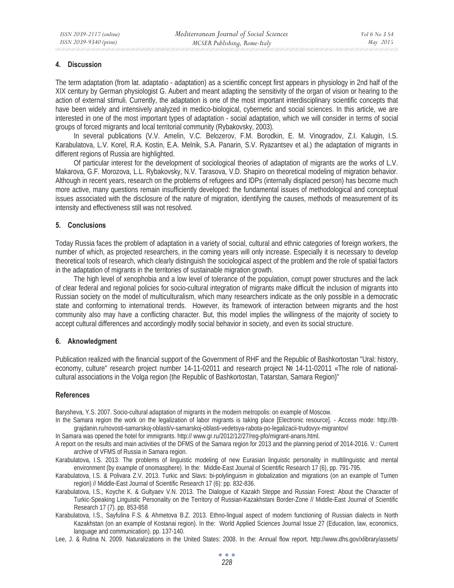## **4. Discussion**

The term adaptation (from lat. adaptatio - adaptation) as a scientific concept first appears in physiology in 2nd half of the XIX century by German physiologist G. Aubert and meant adapting the sensitivity of the organ of vision or hearing to the action of external stimuli. Currently, the adaptation is one of the most important interdisciplinary scientific concepts that have been widely and intensively analyzed in medico-biological, cybernetic and social sciences. In this article, we are interested in one of the most important types of adaptation - social adaptation, which we will consider in terms of social groups of forced migrants and local territorial community (Rybakovsky, 2003).

In several publications (V.V. Amelin, V.C. Belozerov, F.M. Borodkin, E. M. Vinogradov, Z.I. Kalugin, I.S. Karabulatova, L.V. Korel, R.A. Kostin, E.A. Melnik, S.A. Panarin, S.V. Ryazantsev et al.) the adaptation of migrants in different regions of Russia are highlighted.

Of particular interest for the development of sociological theories of adaptation of migrants are the works of L.V. Makarova, G.F. Morozova, L.L. Rybakovsky, N.V. Tarasova, V.D. Shapiro on theoretical modeling of migration behavior. Although in recent years, research on the problems of refugees and IDPs (internally displaced person) has become much more active, many questions remain insufficiently developed: the fundamental issues of methodological and conceptual issues associated with the disclosure of the nature of migration, identifying the causes, methods of measurement of its intensity and effectiveness still was not resolved.

## **5. Conclusions**

Today Russia faces the problem of adaptation in a variety of social, cultural and ethnic categories of foreign workers, the number of which, as projected researchers, in the coming years will only increase. Especially it is necessary to develop theoretical tools of research, which clearly distinguish the sociological aspect of the problem and the role of spatial factors in the adaptation of migrants in the territories of sustainable migration growth.

The high level of xenophobia and a low level of tolerance of the population, corrupt power structures and the lack of clear federal and regional policies for socio-cultural integration of migrants make difficult the inclusion of migrants into Russian society on the model of multiculturalism, which many researchers indicate as the only possible in a democratic state and conforming to international trends. However, its framework of interaction between migrants and the host community also may have a conflicting character. But, this model implies the willingness of the majority of society to accept cultural differences and accordingly modify social behavior in society, and even its social structure.

## **6. Aknowledgment**

Publication realized with the financial support of the Government of RHF and the Republic of Bashkortostan "Ural: history, economy, culture" research project number 14-11-02011 and research project № 14-11-02011 «The role of nationalcultural associations in the Volga region (the Republic of Bashkortostan, Tatarstan, Samara Region)"

## **References**

Barysheva, Y.S. 2007. Socio-cultural adaptation of migrants in the modern metropolis: on example of Moscow.

In the Samara region the work on the legalization of labor migrants is taking place [Electronic resource]. - Access mode: http://tltgrajdanin.ru/novosti-samarskoj-oblasti/v-samarskoj-oblasti-vedetsya-rabota-po-legalizacii-trudovyx-migrantov/

In Samara was opened the hotel for immigrants. http:// www.gr.ru/2012/12/27/reg-pfo/migrant-anans.html.

A report on the results and main activities of the DFMS of the Samara region for 2013 and the planning period of 2014-2016. V.: Current archive of VFMS of Russia in Samara region.

- Karabulatova, I.S. 2013. The problems of linguistic modeling of new Eurasian linguistic personality in multilinguistic and mental environment (by example of onomasphere). In the: Middle-East Journal of Scientific Research 17 (6), pp. 791-795.
- Karabulatova, I.S. & Polivara Z.V. 2013. Turkic and Slavs: bi-polylinguism in globalization and migrations (on an example of Tumen region) // Middle-East Journal of Scientific Research 17 (6): pp. 832-836.
- Karabulatova, I.S., Koyche K. & Gultyaev V.N. 2013. The Dialogue of Kazakh Steppe and Russian Forest: About the Character of Turkic-Speaking Linguistic Personality on the Territory of Russian-Kazakhstani Border-Zone // Middle-East Journal of Scientific Research 17 (7). pp. 853-858
- Karabulatova, I.S., Sayfulina F.S. & Ahmetova B.Z. 2013. Ethno-lingual aspect of modern functioning of Russian dialects in North Kazakhstan (on an example of Kostanai region). In the: World Applied Sciences Journal Issue 27 (Education, law, economics, language and communication). pp. 137-140.

Lee, J. & Rutina N. 2009. Naturalizations in the United States: 2008. In the: Annual flow report. http://www.dhs.gov/xlibrary/assets/